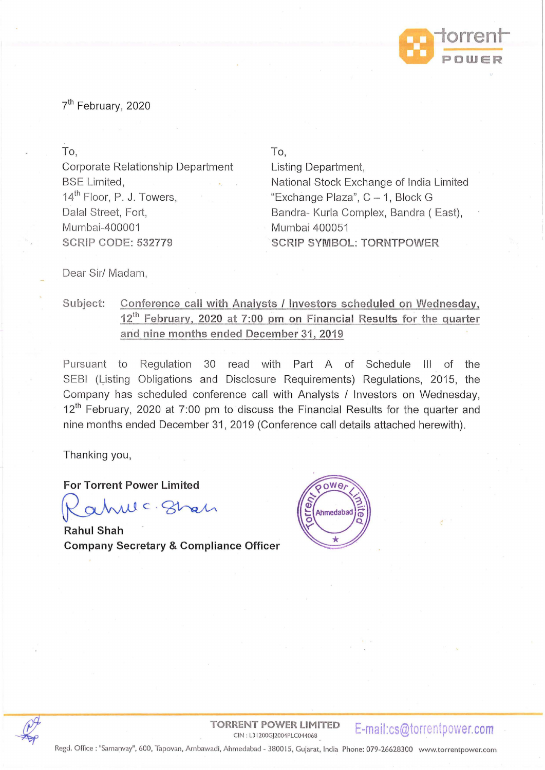

7<sup>th</sup> February, 2020

To,

Corporate Relationship Department BSE Limited, 14<sup>th</sup> Floor, P. J. Towers, Dalal Street, Fort, Mumbai-400001 **SCRIP CODE: 532779** 

To,

Listing Department, National Stock Exchange of India Limited "Exchange Plaza",  $C - 1$ , Block G Bandra- Kurla Complex, Bandra (East), Mumbai 400051 **SCRIP SYMBOL: TORNTPOWER** 

Dear Sir/ Madam,

### Subject: Conference call with Analysts / Investors scheduled on Wednesday, **1 i h February, 2020 at 7:00 pm on Financial Results for the quarter arid nine months ended December 31, 2019**

Pursuant to Regulation 30 read with Part A of Schedule III of the SEBI (Listing Obligations and Disclosure Requirements) Regulations, 2015, the Company has scheduled conference call with Analysts / Investors on Wednesday,  $12<sup>th</sup>$  February, 2020 at 7:00 pm to discuss the Financial Results for the quarter and nine months ended December 31, 2019 (Conference call details attached herewith).

Thanking you,

**For Torrent Power Limited** 

we ghan

**Rahul Shah Company Secretary & Compliance Officer** 





**TORRENT POWER LIMITED**  CIN : L3 I 200GJ2004PLC044068 **E-mail:cs@torrentpower.com** 

Regd. Office: "Samanvay", 600, Tapovan, Ambawadi, Ahmedabad - 380015 , Gujarat, India Phone: 079-26628300 www.torrentpower.com